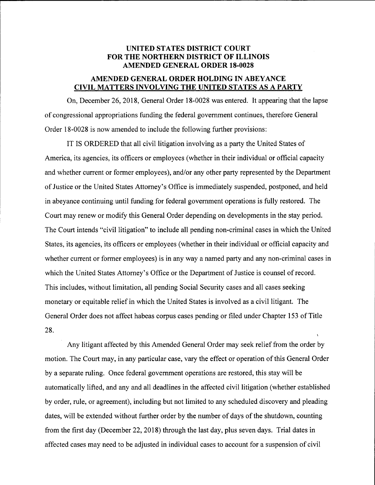## UNITED STATES DISTRICT COURT FOR THE NORTHERN DISTRICT OF ILLINOIS AMENDED GENERAL ORDER 18.0028

## AMENDED GENERAL ORDER HOLDING IN ABEYANCE CIVIL MATTERS INVOLVING THE UNITED STATES AS A PARTY

On, December 26,2018, General Order l8-0028 was entered. It appearing that the lapse of congressional appropriations funding the federal govemment continues, therefore General Order 18-0028 is now amended to include the following further provisions:

IT IS ORDERED that all civil litigation involving as a party the United States of America, its agencies, its officers or employees (whether in their individual or official capacity and whether current or former employees), and/or any other party represented by the Department of Justice or the United States Attorney's Office is immediately suspended, postponed, and held in abeyance continuing until funding for federal government operations is fully restored. The Court may renew or modify this General Order depending on developments in the stay period. The Court intends "civil litigation" to include all pending non-criminal cases in which the United States, its agencies, its officers or employees (whether in their individual or official capacity and whether current or former employees) is in any way a named party and any non-criminal cases in which the United States Attorney's Office or the Department of Justice is counsel of record. This includes, without limitation, all pending Social Security cases and all cases seeking monetary or equitable relief in which the United States is involved as a civil litigant. The General Order does not affect habeas corpus cases pending or filed under Chapter 153 of Title 28. \

Any litigant affected by this Amended General Order may seek relief from the order by motion. The Court may, in any particular case, vary the effect or operation of this General Order by a separate ruling. Once federal government operations are restored, this stay will be automatically lifted, and any and all deadlines in the affected civil litigation (whether established by order, rule, or agreement), including but not limited to any scheduled discovery and pleading dates, will be extended without further order by the number of days of the shutdown, counting from the first day (December 22,2018) through the last day, plus seven days. Trial dates in affected cases may need to be adjusted in individual cases to account for a suspension of civil